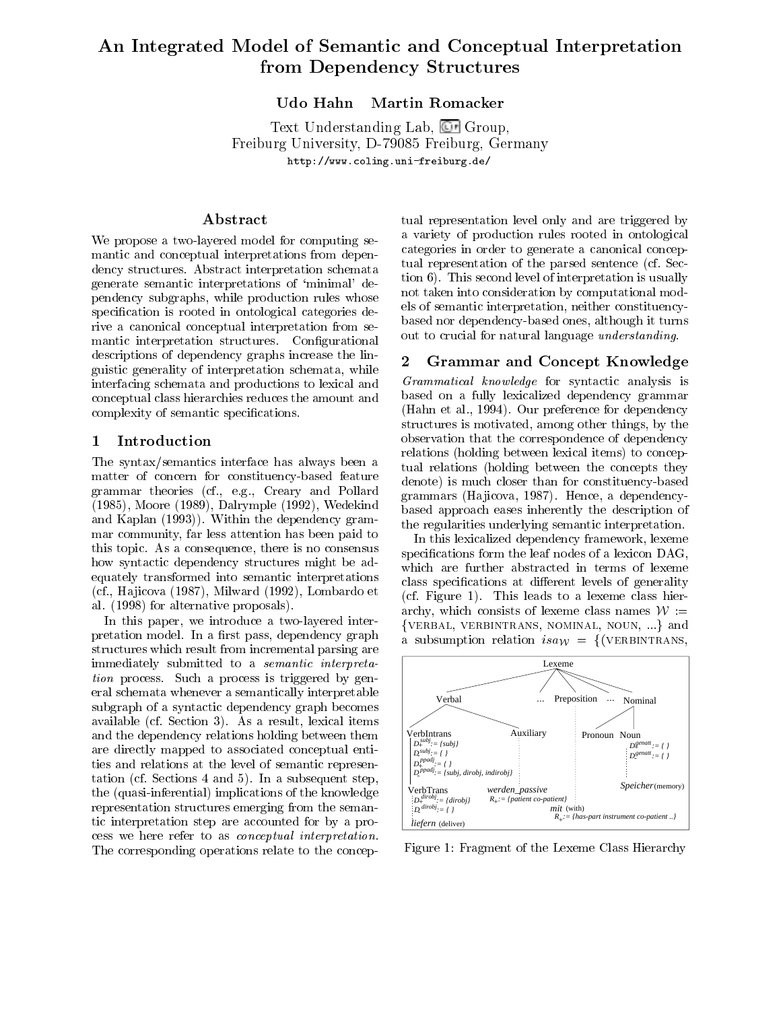# An Integrated Model of Semantic and Conceptual Interpretation from Dependency Structures

#### Udo Hahn Martin Romacker

Text Understanding Lab, Group, Freiburg University, D-79085 Freiburg, Germany http://www.coling.uni-freiburg.de/

### Abstract

We propose a two-layered model for computing semantic and conceptual interpretations from dependency structures. Abstract interpretation schemata generate semantic interpretations of `minimal' dependency subgraphs, while production rules whose specification is rooted in ontological categories derive a canonical conceptual interpretation from semantic interpretation structures. Configurational descriptions of dependency graphs increase the linguistic generality of interpretation schemata, while interfacing schemata and productions to lexical and conceptual class hierarchies reduces the amount and complexity of semantic specifications.

#### 1 Introduction

The syntax/semantics interface has always been a matter of concern for constituency-based feature grammar theories (cf., e.g., Creary and Pollard (1985), Moore (1989), Dalrymple (1992), Wedekind and Kaplan (1993)). Within the dependency grammar community, far less attention has been paid to this topic. As a consequence, there is no consensus how syntactic dependency structures might be adequately transformed into semantic interpretations (cf., Ha jicova (1987), Milward (1992), Lombardo et al. (1998) for alternative proposals).

In this paper, we introduce a two-layered interpretation model. In a first pass, dependency graph structures which result from incremental parsing are immediately submitted to a semantic interpretation process. Such a process is triggered by general schemata whenever a semantically interpretable subgraph of a syntactic dependency graph becomes available (cf. Section 3). As a result, lexical items and the dependency relations holding between them are directly mapped to associated conceptual entities and relations at the level of semantic representation (cf. Sections 4 and 5). In a subsequent step, the (quasi-inferential) implications of the knowledge representation structures emerging from the semantic interpretation step are accounted for by a process we here refer to as conceptual interpretation. The corresponding operations relate to the conceptual representation level only and are triggered by a variety of production rules rooted in ontological categories in order to generate a canonical conceptual representation of the parsed sentence (cf. Section 6). This second level of interpretation is usually not taken into consideration by computational models of semantic interpretation, neither constituencybased nor dependency-based ones, although it turns out to crucial for natural language understanding.

#### $\mathbf{2}$ Grammar and Concept Knowledge

Grammatical knowledge for syntactic analysis is based on a fully lexicalized dependency grammar (Hahn et al., 1994). Our preference for dependency structures is motivated, among other things, by the observation that the correspondence of dependency relations (holding between lexical items) to conceptual relations (holding between the concepts they denote) is much closer than for constituency-based grammars (Hajicova, 1987). Hence, a dependencybased approach eases inherently the description of the regularities underlying semantic interpretation.

In this lexicalized dependency framework, lexeme specifications form the leaf nodes of a lexicon DAG, which are further abstracted in terms of lexeme class specifications at different levels of generality (cf. Figure 1). This leads to a lexeme class hierarchy, which consists of lexeme class names  $W :=$ {VERBAL, VERBINTRANS, NOMINAL, NOUN, ...} and a subsumption relation  $isa_W = \{(\text{VERBINTRANS},\$ 



Figure 1: Fragment of the Lexeme Class Hierarchy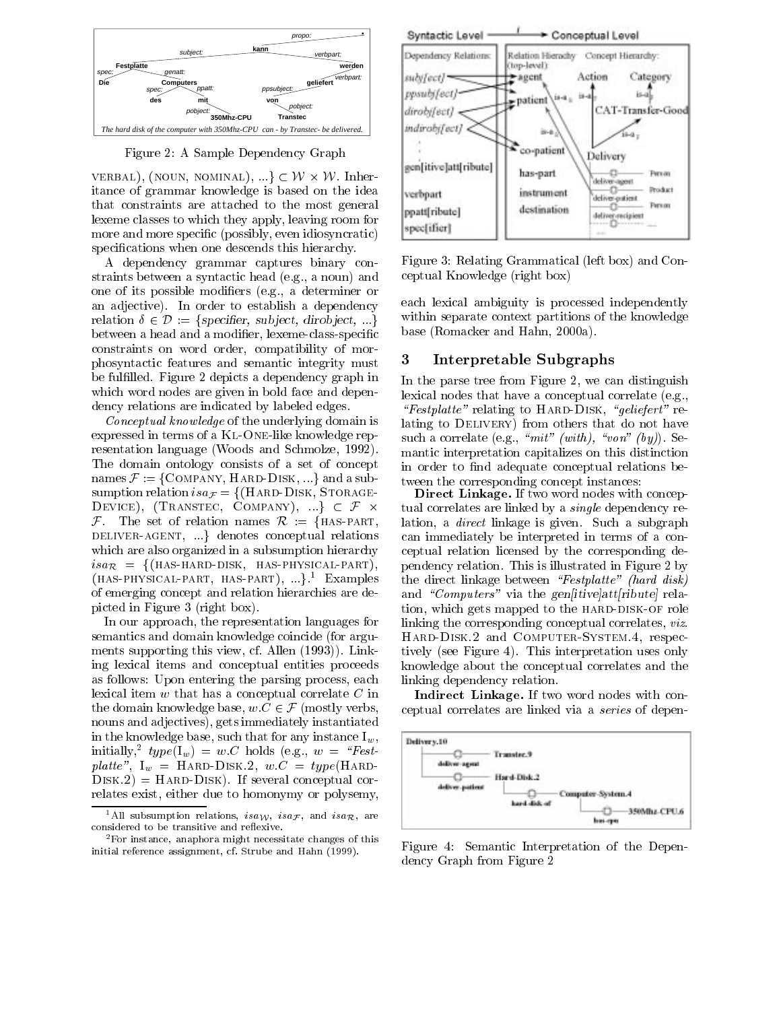

Figure 2: A Sample Dependency Graph

VERBAL), (NOUN, NOMINAL),  $\cdots$ }  $\subset$  FV  $\times$  FV. Inneritance of grammar knowledge is based on the idea that constraints are attached to the most general point pattern pattern in the most general lexeme classes to which they apply, leaving room for<br>means and mean ensife (pessibly, such idicationalis) more and more specific (possibly, even idiosyncratic) specifications when one descends this hierarchy.

A dependency grammar captures binary constraints between a syntactic head (e.g., a noun) and one of its possible modiers (e.g., a determiner or an adjective). In order to establish a dependency relation  $\delta \in \mathcal{D} := \{specificr, subject, dividect, ...\}$ between a head and a modifier, lexeme-class-specific constraints on word order, compatibility of morphosyntactic features and semantic integrity must be fulfilled. Figure 2 depicts a dependency graph in which word nodes are given in bold face and dependency relations are indicated by labeled edges.

Conceptual knowledge of the underlying domain is expressed in terms of a KL-ONE-like knowledge representation language (Woods and Schmolze, 1992). The domain ontology consists of a set of concept names  $\mathcal{F}$  := {COMPANY, HARD-DISK, ...} and a subsumption relation  $isa_F = \{(\text{HARD-DISK}, \text{STORAGE} - \}$ DEVICE), (TRANSTEC, COMPANY),  $\cdots$ }  $\subset \mathcal{F} \times$  $\mathcal{F}$ . The set of relation names  $\mathcal{R}$  : = {HAS-PART, DELIVER-AGENT, ...} denotes conceptual relations which are also organized in a subsumption hierarchy  $isa_{\mathcal{R}} = \{$ (HAS-HARD-DISK, HAS-PHYSICAL-PART),  $(HAS-PHYSICAL-PART, HAS-PART), ...$ <sup>1</sup> Examples of emerging concept and relation hierarchies are depicted in Figure 3 (right box).

In our approach, the representation languages for semantics and domain knowledge coincide (for arguments supporting this view, cf. Allen (1993)). Linking lexical items and conceptual entities proceeds as follows: Upon entering the parsing process, each lexical item <sup>w</sup> that has a conceptual correlate <sup>C</sup> in as follows: Upon entering the parsing process, each<br>lexical item w that has a conceptual correlate C in<br>the domain knowledge base,  $w.C \in \mathcal{F}$  (mostly verbs, nouns and adjectives), gets immediately instantiated in the knowledge base, such that for any instance  $I_w$ , initially,  $type(1_w) = w.C$  holds (e.g.,  $w = \{resi$ platte",  $I_w =$  HARD-DISK.2,  $w.C = type$ (HARD- $DISK.2) = HARD-DISK$ . If several conceptual correlates exist, either due to homonymy or polysemy,



Figure 3: Relating Grammatical (left box) and Conceptual Knowledge (right box)

each lexical ambiguity is processed independently within separate context partitions of the knowledge base (Romacker and Hahn, 2000a).

#### 3 Interpretable Subgraphs

In the parse tree from Figure 2, we can distinguish lexical nodes that have a conceptual correlate (e.g., "Festplatte" relating to HARD-DISK, "geliefert" relating to DELIVERY) from others that do not have such a correlate (e.g., " $mit$ " (with), "von" (by)). Semantic interpretation capitalizes on this distinction in order to find adequate conceptual relations between the corresponding concept instances:

 tual correlates are linked by a single dependency re-Direct Linkage. If two word nodes with conceplation, a direct linkage is given. Such a subgraph can immediately be interpreted in terms of a conceptual relation licensed by the corresponding dependency relation. This is illustrated in Figure 2 by the direct linkage between " $Festplate$ " (hard disk) and "Computers" via the gen[itive]att[ribute] relation, which gets mapped to the HARD-DISK-OF role linking the corresponding conceptual correlates, viz. Hard-Disk.2 and Computer-System.4, respectively (see Figure 4). This interpretation uses only knowledge about the conceptual correlates and the linking dependency relation.

Indirect Linkage. If two word nodes with conceptual correlates are linked via a series of depen-



Figure 4: Semantic Interpretation of the Dependency Graph from Figure 2

<sup>&</sup>lt;sup>1</sup>All subsumption relations,  $isa_{\mathcal{W}}, ssa_{\mathcal{F}},$  and  $isa_{\mathcal{R}},$  are considered to be transitive and reflexive.

<sup>2</sup>For instance, anaphora might necessitate changes of this initial reference assignment, cf. Strube and Hahn (1999).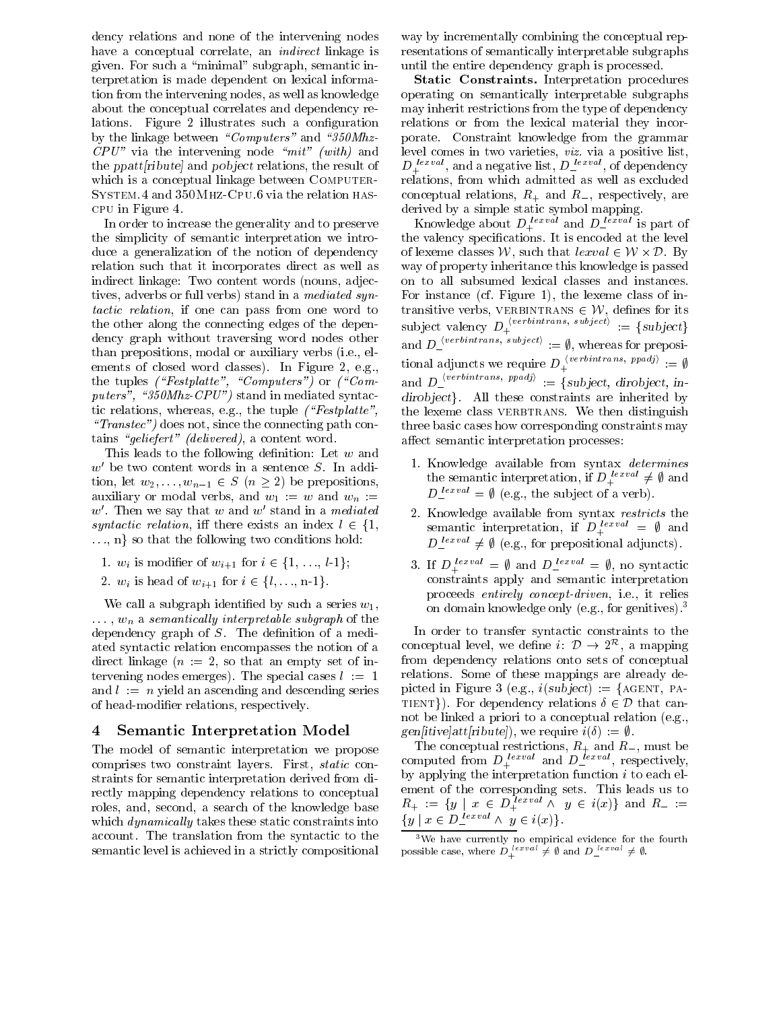dency relations and none of the intervening nodes have a conceptual correlate, an indirect linkage is given. For such a \minimal" subgraph, semantic interpretation is made dependent on lexical information from the intervening nodes, as well as knowledge about the conceptual correlates and dependency relations. Figure 2 illustrates such a configuration by the linkage between "Computers" and "350Mhz- $CPU^"$  via the intervening node "mit" (with) and the  $ppat(\textit{ribute})$  and  $pobject$  relations, the result of which is a conceptual linkage between COMPUTER-System.4 and 350Mhz-Cpu.6 via the relation hascpu in Figure 4.

In order to increase the generality and to preserve the simplicity of semantic interpretation we introduce a generalization of the notion of dependency relation such that it incorporates direct as well as indirect linkage: Two content words (nouns, adjectives, adverbs or full verbs) stand in a mediated syntactic relation, if one can pass from one word to transitive verbs, VERBINTRANS  $\in \mathcal{W}$ , defines for its the other along the connecting edges of the dependency graph without traversing word nodes other than prepositions, modal or auxiliary verbs (i.e., elements of closed word classes). In Figure 2, e.g., the tuples ("Festplatte", "Computers") or ("Computers", " $350Mhz-CPU"$ ) stand in mediated syntactic relations, whereas, e.g., the tuple  $( \H{r}Festplate" ,$ " $Transfer"$ ) does not, since the connecting path contains "geliefert" (delivered), a content word.

This leads to the following definition: Let  $w$  and  $w$  be two content words in a sentence  $S$ . In addition, let  $w_2,\ldots,w_{n-1} \in S \ (n \geq 2)$  be prepositions, auxiliary or modal verbs, and  $w_1 := w$  and  $w_n :=$  $w$ . I hen we say that  $w$  and  $w$  stand in a meatated  $\rightarrow$ syntactic relation, iff there exists an index  $l \in \{1,$  $\ldots$ , n $\gamma$  so that the following two conditions hold: mutric relation, in there exists an index  $i \in \{1, \ldots, n\}$  so that the following two conditions hold:<br>1.  $w_i$  is modifier of  $w_{i+1}$  for  $i \in \{1, \ldots, l-1\}$ ;

- 1.  $w_i$  is modifier of  $w_{i+1}$  for  $i \in \{1, ..., l-1\}$ ;<br>2.  $w_i$  is head of  $w_{i+1}$  for  $i \in \{l, ..., n-1\}$ .
- 

We call a subgraph identified by such a series  $w_1$ ,  $: \cdot : \cdot : \cdot$  whose sense is a semi-degree subgraph of the substitution of  $\alpha$ dependency graph of  $S$ . The definition of a mediated syntactic relation encompasses the notion of a direct linkage  $(n := 2$ , so that an empty set of intervening nodes emerges). The special cases  $l := 1$ and  $l := n$  yield an ascending and descending series of head-modier relations, respectively.

#### 4 Semantic Interpretation Model

The model of semantic interpretation we propose comprises two constraint layers. First, static constraints for semantic interpretation derived from directly mapping dependency relations to conceptual roles, and, second, a search of the knowledge base which *dynamically* takes these static constraints into account. The translation from the syntactic to the semantic level is achieved in a strictly compositional

way by incrementally combining the conceptual representations of semantically interpretable subgraphs until the entire dependency graph is processed.

Static Constraints. Interpretation procedures operating on semantically interpretable subgraphs may inherit restrictions from the type of dependency relations or from the lexical material they incorporate. Constraint knowledge from the grammar level comes in two varieties, viz. via a positive list,  $D_+$   $\cdots$ , and a negative list,  $D_ \cdots$  , or dependency relations, from which admitted as well as excluded conceptual relations,  $R_+$  and  $R_-$ , respectively, are derived by a simple static symbol mapping.

Knowledge about  $D_+^{\text{even}}$  and  $D_-^{\text{even}}$  is part of the valency specications. It is encoded at the level of lexeme classes  $\nu$ , such that  $\ell \ell x \nu a \in \ell \nu \times \nu$ . By way of property inheritance this knowledge is passed For instance (cf. Figure 1), the lexeme class of inon to all subsumed lexical classes and instances.<br>For instance (cf. Figure 1), the lexeme class of in-<br>transitive verbs, VERBINTRANS  $\in \mathcal{W}$ , defines for its subject valency  $D_+^{\text{vacuum}}$ , subjectively  $:= \{subject\}$ and  $D_{\perp}$ <sup>ber</sup> similaris; subjectifier  $\equiv \emptyset$ , whereas for prepositional adjuncts we require  $D_+^{\text{non-conv}}$ ,  $p_P^{\text{non-conv}}$  :=  $\emptyset$ and  $D_{\perp}$ <sup>corresses and</sup>,  $P_{\ell}$  is  $\equiv$  {subject, dirobject, in $divobject\}.$  All these constraints are inherited by the lexeme class VERBTRANS. We then distinguish three basic cases how corresponding constraints may affect semantic interpretation processes:

- 1. Knowledge available from syntax *determines* the semantic interpretation, if  $D_+^{\text{even}} \neq \emptyset$  and  $D_1^{\text{recon}} = \psi$  (e.g., the subject of a verb).
- 2. Knowledge available from syntax *restricts* the semantic interpretation, if  $D_+^{even} = \psi$  and  $D$  lexval  $\neq$   $\psi$  (e.g., for prepositional adjuncts).
- 3. If  $D_+^{(1)}$  =  $\psi$  and  $D_-^{(2)}$  =  $\psi$ , no sympactic constraints apply and semantic interpretation proceeds entirely concept-driven, i.e., it relies on domain knowledge only (e.g., for genitives).3

In order to transfer syntactic constraints to the conceptual level, we define  $i: D \rightarrow 2$ , a mapping from dependency relations onto sets of conceptual relations. Some of these mappings are already depicted in Figure 3 (e.g.,  $i(subject) := \{AGENT, PA$ relations. Some of these mappings are already de-<br>picted in Figure 3 (e.g.,  $i$ (subject) := {AGENT, PA-<br>TIENT}). For dependency relations  $\delta \in \mathcal{D}$  that cannot be linked a priori to a conceptual relation (e.g., gen[itive]att[ribute]), we require  $i(\delta) := \emptyset$ .

The conceptual restrictions,  $R_+$  and  $R_-$ , must be computed from  $D_+$  and  $D_-$  is sepectively, by applying the interpretation function  $i$  to each element of the corresponding sets. This leads us to  $R_+ := \{y \mid x \in D_+$   $\longrightarrow$   $y \in i(x)$  and  $R_- :=$  $\{y \mid x \in D$   $\longrightarrow$   $\wedge$   $y \in i(x)\}.$ 

 $\,$  we have currently no empirical evidence for the fourth  $\,$ possible case, where  $D_+^{\text{reco}} \neq \emptyset$  and  $D_-^{\text{reco}} \neq \emptyset$ .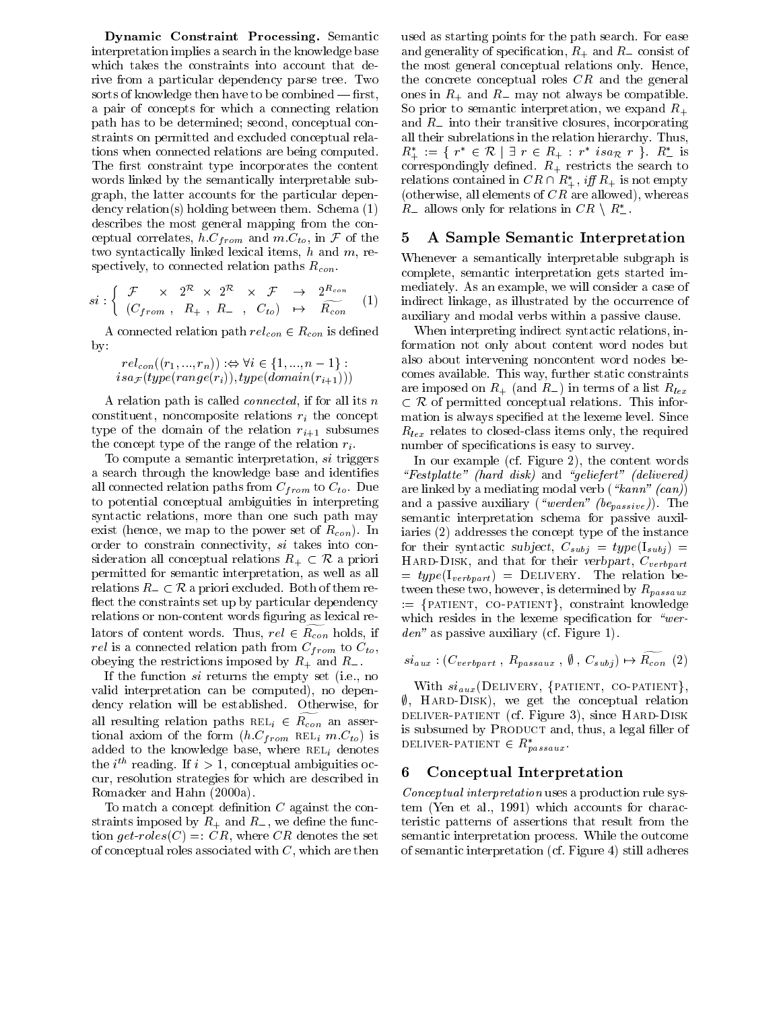Dynamic Constraint Processing. Semantic interpretation implies a search in the knowledge base which takes the constraints into account that derive from a particular dependency parse tree. Two sorts of knowledge then have to be combined  $-\text{first}$ , a pair of concepts for which a connecting relation path has to be determined; second, conceptual constraints on permitted and excluded conceptual relations when connected relations are being computed. The first constraint type incorporates the content words linked by the semantically interpretable subgraph, the latter accounts for the particular dependency relation(s) holding between them. Schema (1) describes the most general mapping from the conceptual correlates,  $h.C_{from}$  and  $m.C_{to}$ , in F of the 5 two syntactically linked lexical items,  $h$  and  $m$ , respectively, to connected relation paths  $R_{con}$ .

$$
si: \left\{ \begin{array}{ccc} \mathcal{F} & \times & 2^{\mathcal{R}} \times & 2^{\mathcal{R}} \times & \mathcal{F} & \rightarrow & 2^{R_{con}} \\ (C_{from}, & R_{+}, & R_{-}, & C_{to}) & \mapsto & R_{con} \end{array} \right. \tag{1}
$$

A connected relation path  $rel_{con} \in R_{con}$  is defined<br>  $rel_{con}((r_1,...,r_n)) :\Leftrightarrow \forall i \in \{1,...,n-1\}$ : also by:

$$
rel_{con}((r_1, ..., r_n)) : \Leftrightarrow \forall i \in \{1, ..., n-1\} :
$$
  
is a  $\mathcal{F}(type(range(r_i)), type(domain(r_{i+1})))$ 

A relation path is called connected, if for all its <sup>n</sup> constituent, noncomposite relations  $r_i$  the concept type of the domain of the relation  $r_{i+1}$  subsumes the concept type of the range of the relation  $r_i$ .

To compute a semantic interpretation, si triggers a search through the knowledge base and identifies all connected relation paths from  $C_{from}$  to  $C_{to}$ . Due to potential conceptual ambiguities in interpreting syntactic relations, more than one such path may exist (hence, we map to the power set of  $R_{con}$ ). In order to constrain connectivity, si takes into conexist (hence, we map to the power set of  $R_{con}$ ). In ia order to constrain connectivity, si takes into consideration all conceptual relations  $R_+ \subset \mathcal{R}$  a priori H permitted for semantic interpretation, as well as all sideration all conceptual relations  $R_+ \subset \mathcal{R}$  a priori<br>permitted for semantic interpretation, as well as all<br>relations  $R_- \subset \mathcal{R}$  a priori excluded. Both of them reflect the constraints set up by particular dependency relations or non-content words figuring as lexical relators of content words. Thus,  $rel \in R_{con}$  holds, if relation relationships a contracted path from  $\sim$  roman  $\sim$   $\sim$   $\omega$ ,  $\sim$ obeying the restrictions imposed by  $R_+$  and  $R_-$ .<br>If the function si returns the empty set (i.e., no

valid interpretation can be computed), no dependency relation will be established. Otherwise, for all resulting relation paths  $REL_i \in R_{con}$  an assertional axiom of the form  $(h.C_{from} \text{REL}_i m.C_{to})$  is added to the knowledge base, where  $REL_i$  denotes the  $i$  -reading. If  $i > 1$ , conceptual ambiguities occur, resolution strategies for which are described in Romacker and Hahn (2000a).

To match a concept definition  $C$  against the constraints imposed by  $R_+$  and  $R_-$ , we define the function get-roles(C) =: CR, where CR denotes the set of conceptual roles associated with  $C$ , which are then used as starting points for the path search. For ease and generality of specification,  $R_+$  and  $R_-$  consist of the most general conceptual relations only. Hence, the concrete conceptual roles  $CR$  and the general ones in  $R_+$  and  $R_-$  may not always be compatible. So prior to semantic interpretation, we expand  $R_{+}$ and  $R_{-}$  into their transitive closures, incorporating all their subrelations in the relation hierarchy. Thus,  $R_+ := \{ r \in \mathcal{R} \mid \exists r \in R_+ : r \text{ is} a_{\mathcal{R}} r \}$ .  $R_-$  is correspondingly defined.  $R_+$  restricts the search to relations contained in  $CR \cap R^*_+$ , iff  $R_+$  is not empty (otherwise, all elements of  $CR$  are allowed), whereas  $R_-$  allows only for relations in  $CR \setminus R^*_-$ .

#### 5 A Sample Semantic Interpretation

 $\gamma$  indirect limits, as illustrated by the occurrence of Whenever a semantically interpretable subgraph is complete, semantic interpretation gets started immediately. As an example, we will consider a case of auxiliary and modal verbs within a passive clause.

> When interpreting indirect syntactic relations, information not only about content word nodes but also about intervening noncontent word nodes becomes available. This way, further static constraints comes available. This way, further static constraints<br>are imposed on  $R_{+}$  (and  $R_{-}$ ) in terms of a list  $R_{lex}$ <br> $\subset R$  of parmitted aspectfual polations. This information  $\subset \mathcal{R}$  of permitted conceptual relations. This information is always specied at the lexeme level. Since  $R_{lex}$  relates to closed-class items only, the required number of specifications is easy to survey.

In our example (cf. Figure 2), the content words " $Festplate"$  (hard disk) and "geliefert" (delivered) are linked by a mediating modal verb ( $\kappa$ ann" (can)) and a passive auxiliary ("werden" (bepassive)). The semantic interpretation schema for passive auxiliaries (2) addresses the concept type of the instance for their syntactic subject,  $C_{subj} = type(I_{subj}) =$ HARD-DISK, and that for their verbpart,  $C_{verbpart}$  $= type(I_{verbpart}) = DELIVERY$ . The relation between these two, however, is determined by  $R_{passaux}$  $:=$  {PATIENT, CO-PATIENT}, constraint knowledge which resides in the lexeme specification for "werden" as passive auxiliary (cf. Figure 1).

$$
si_{aux} : (C_{verbpart} , R_{passaux} , \emptyset , C_{subj}) \mapsto \widetilde{R_{con}} (2)
$$

With  $si_{aux}$ (DELIVERY, {PATIENT, CO-PATIENT},  $\emptyset$ , HARD-DISK), we get the conceptual relation deliver-patient (cf. Figure 3), since Hard-Disk is subsumed by PRODUCT and, thus, a legal filler of DELIVER-PATIENT  $\in$   $R_{passaux}$ .

#### 6 Conceptual Interpretation

Conceptual interpretation uses a production rule system (Yen et al., 1991) which accounts for characteristic patterns of assertions that result from the semantic interpretation process. While the outcome of semantic interpretation (cf. Figure 4) still adheres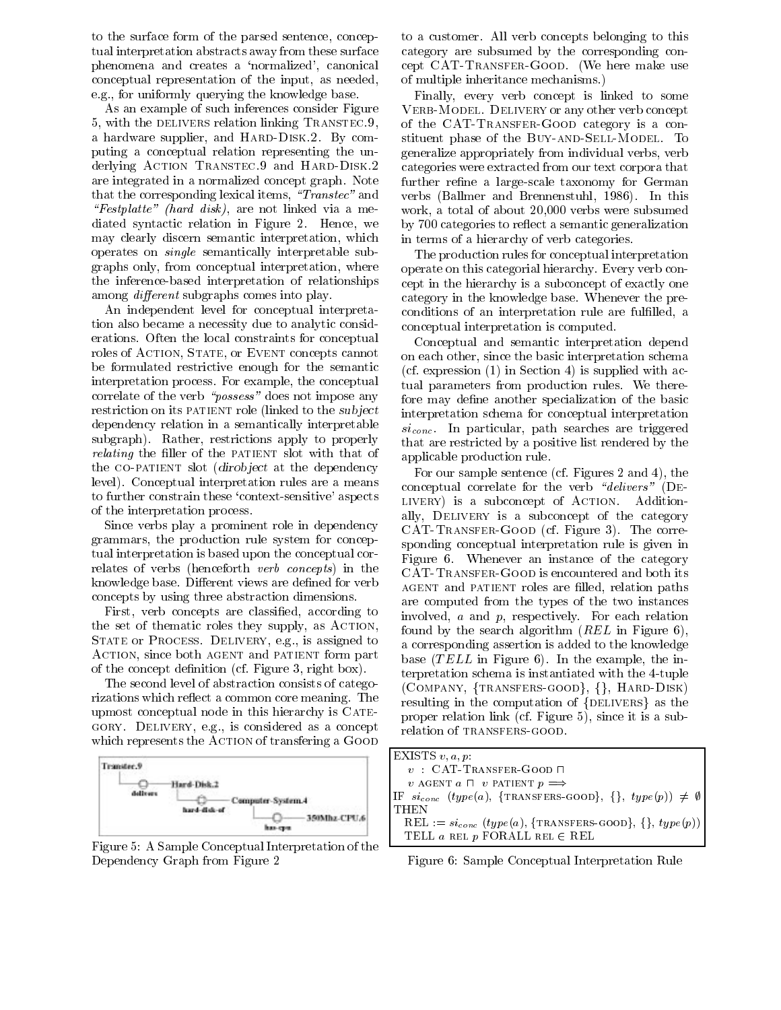to the surface form of the parsed sentence, conceptual interpretation abstracts away from these surface phenomena and creates a `normalized', canonical conceptual representation of the input, as needed, e.g., for uniformly querying the knowledge base.

As an example of such inferences consider Figure 5, with the DELIVERS relation linking TRANSTEC.9, a hardware supplier, and HARD-DISK.2. By computing a conceptual relation representing the underlying ACTION TRANSTEC. 9 and HARD-DISK. 2 are integrated in a normalized concept graph. Note that the corresponding lexical items, " $Transfer$ " and " $Festplate"$  (hard disk), are not linked via a mediated syntactic relation in Figure 2. Hence, we may clearly discern semantic interpretation, which operates on single semantically interpretable subgraphs only, from conceptual interpretation, where the inference-based interpretation of relationships among *different* subgraphs comes into play.

An independent level for conceptual interpretation also became a necessity due to analytic considerations. Often the local constraints for conceptual roles of ACTION, STATE, or EVENT concepts cannot be formulated restrictive enough for the semantic interpretation process. For example, the conceptual correlate of the verb " $possess$ " does not impose any restriction on its PATIENT role (linked to the *subject* dependency relation in a semantically interpretable subgraph). Rather, restrictions apply to properly *relating* the filler of the PATIENT slot with that of the CO-PATIENT slot *(dirobject* at the dependency level). Conceptual interpretation rules are a means to further constrain these `context-sensitive' aspects of the interpretation process.

Since verbs play a prominent role in dependency grammars, the production rule system for conceptual interpretation is based upon the conceptual correlates of verbs (henceforth verb concepts) in the knowledge base. Different views are defined for verb concepts by using three abstraction dimensions.

First, verb concepts are classified, according to the set of thematic roles they supply, as Action, STATE or PROCESS. DELIVERY, e.g., is assigned to ACTION, since both AGENT and PATIENT form part of the concept denition (cf. Figure 3, right box).

The second level of abstraction consists of categorizations which reflect a common core meaning. The upmost conceptual node in this hierarchy is  $CATE$ gory. Delivery, e.g., is considered as a concept which represents the ACTION of transfering a GOOD



Figure 5: A Sample Conceptual Interpretation of the Dependency Graph from Figure 2

to a customer. All verb concepts belonging to this category are subsumed by the corresponding concept CAT-Transfer-Good. (We here make use of multiple inheritance mechanisms.)

Finally, every verb concept is linked to some VERB-MODEL. DELIVERY or any other verb concept of the CAT-Transfer-Good category is a constituent phase of the BUY-AND-SELL-MODEL. To generalize appropriately from individual verbs, verb categories were extracted from our text corpora that further refine a large-scale taxonomy for German verbs (Ballmer and Brennenstuhl, 1986). In this work, a total of about 20,000 verbs were subsumed by 700 categories to reflect a semantic generalization in terms of a hierarchy of verb categories.

The production rules for conceptual interpretation operate on this categorial hierarchy. Every verb concept in the hierarchy is a subconcept of exactly one category in the knowledge base. Whenever the preconditions of an interpretation rule are fulfilled, a conceptual interpretation is computed.

Conceptual and semantic interpretation depend on each other, since the basic interpretation schema (cf. expression  $(1)$  in Section 4) is supplied with actual parameters from production rules. We therefore may define another specialization of the basic interpretation schema for conceptual interpretation  $si_{conc.}$  In particular, path searches are triggered that are restricted by a positive list rendered by the applicable production rule.

For our sample sentence (cf. Figures 2 and 4), the conceptual correlate for the verb "delivers" (DE-LIVERY) is a subconcept of ACTION. Additionally, DELIVERY is a subconcept of the category CAT-Transfer-Good (cf. Figure 3). The corresponding conceptual interpretation rule is given in Figure 6.Whenever an instance of the category CAT-Transfer-Good is encountered and both its AGENT and PATIENT roles are filled, relation paths are computed from the types of the two instances involved, <sup>a</sup> and p, respectively. For each relation found by the search algorithm  $(REL$  in Figure 6), a corresponding assertion is added to the knowledge base (TELL in Figure 6). In the example, the interpretation schema is instantiated with the 4-tuple  $(COMPANY, {TRANSFERS-GOOD}, \{\}, HARD-DISK)$ resulting in the computation of  $\{DELIVERS\}$  as the proper relation link (cf. Figure 5), since it is a subrelation of TRANSFERS-GOOD.

| EXISTS $v, a, p$ :                                                       |  |
|--------------------------------------------------------------------------|--|
| $v$ : CAT-TRANSFER-GOOD $\Box$                                           |  |
| v AGENT $a \sqcap v$ PATIENT $p \implies$                                |  |
| IF $si_{conc}$ (type(a), {TRANSFERS-GOOD}, {}, type(p)) $\neq \emptyset$ |  |
| <b>THEN</b>                                                              |  |
| REL := $si_{conc} (type(a), {TransFERS-GOOD}, {}, {ype(p)})$             |  |
| TELL <i>a</i> REL <i>p</i> FORALL REL $\in$ REL                          |  |

Figure 6: Sample Conceptual Interpretation Rule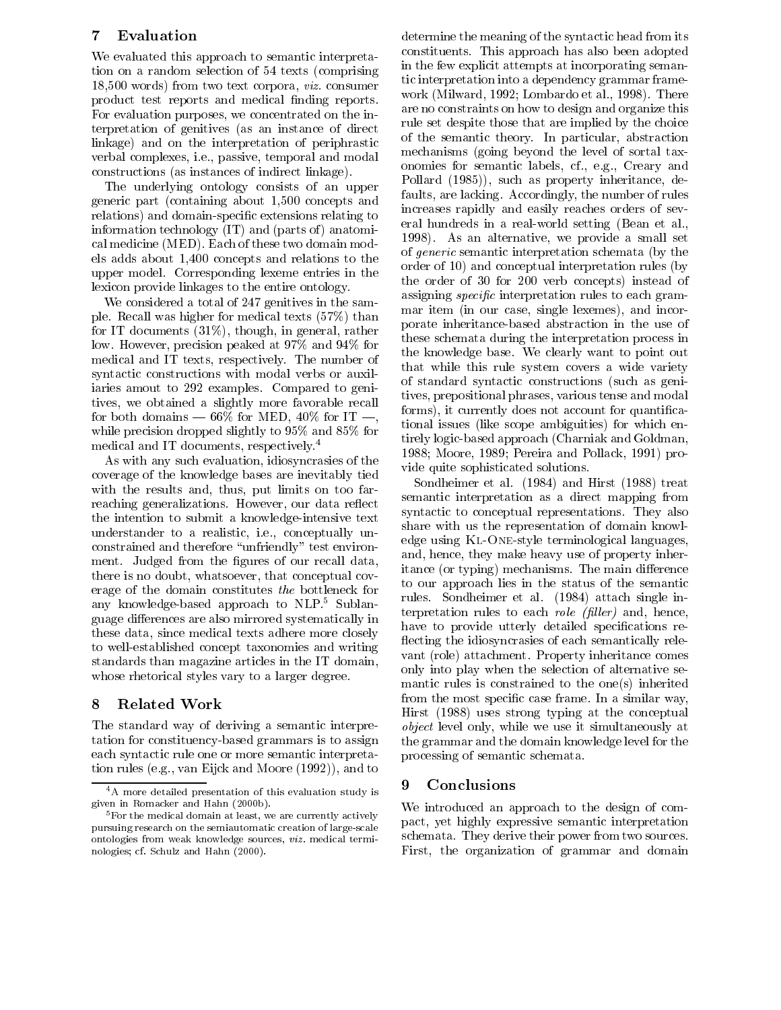#### 7 Evaluation

We evaluated this approach to semantic interpretation on a random selection of 54 texts (comprising 18,500 words) from two text corpora, viz. consumer product test reports and medical finding reports. For evaluation purposes, we concentrated on the interpretation of genitives (as an instance of direct linkage) and on the interpretation of periphrastic verbal complexes, i.e., passive, temporal and modal constructions (as instances of indirect linkage).

The underlying ontology consists of an upper generic part (containing about 1,500 concepts and relations) and domain-specic extensions relating to information technology  $(IT)$  and  $(parts\ of)$  anatomical medicine (MED). Each of these two domain models adds about 1,400 concepts and relations to the upper model. Corresponding lexeme entries in the lexicon provide linkages to the entire ontology.

We considered a total of 247 genitives in the sample. Recall was higher for medical texts (57%) than for IT documents (31%), though, in general, rather low. However, precision peaked at 97% and 94% for medical and IT texts, respectively. The number of syntactic constructions with modal verbs or auxiliaries amout to 292 examples. Compared to genitives, we obtained a slightly more favorable recall for both domains  $-66\%$  for MED, 40% for IT  $-$ , while precision dropped slightly to 95% and 85% for medical and IT documents, respectively.4

As with any such evaluation, idiosyncrasies of the coverage of the knowledge bases are inevitably tied with the results and, thus, put limits on too farreaching generalizations. However, our data reflect the intention to submit a knowledge-intensive text understander to a realistic, i.e., conceptually unconstrained and therefore "unfriendly" test environment. Judged from the figures of our recall data, there is no doubt, whatsoever, that conceptual cov erage of the domain constitutes the bottleneck for any knowledge-based approach to NLP.5 Sublanguage differences are also mirrored systematically in these data, since medical texts adhere more closely to well-established concept taxonomies and writing standards than magazine articles in the IT domain, whose rhetorical styles vary to a larger degree.

# 8 Related Work

The standard way of deriving a semantic interpretation for constituency-based grammars is to assign each syntactic rule one or more semantic interpretation rules (e.g., van Eijck and Moore (1992)), and to

determine the meaning of the syntactic head from its constituents. This approach has also been adopted in the few explicit attempts at incorporating semantic interpretation into a dependency grammar frame work (Milward, 1992; Lombardo et al., 1998). There are no constraints on how to design and organize this rule set despite those that are implied by the choice of the semantic theory. In particular, abstraction mechanisms (going beyond the level of sortal taxonomies for semantic labels, cf., e.g., Creary and Pollard (1985)), such as property inheritance, defaults, are lacking. Accordingly, the number of rules increases rapidly and easily reaches orders of several hundreds in a real-world setting (Bean et al., 1998). As an alternative, we provide a small set of generic semantic interpretation schemata (by the order of 10) and conceptual interpretation rules (by the order of 30 for 200 verb concepts) instead of assigning *specific* interpretation rules to each grammar item (in our case, single lexemes), and incorporate inheritance-based abstraction in the use of these schemata during the interpretation process in the knowledge base. We clearly want to point out that while this rule system covers a wide variety of standard syntactic constructions (such as genitives, prepositional phrases, various tense and modal forms), it currently does not account for quantificational issues (like scope ambiguities) for which entirely logic-based approach (Charniak and Goldman, 1988; Moore, 1989; Pereira and Pollack, 1991) provide quite sophisticated solutions.

Sondheimer et al. (1984) and Hirst (1988) treat semantic interpretation as a direct mapping from syntactic to conceptual representations. They also share with us the representation of domain knowledge using Kl-One-style terminological languages, and, hence, they make heavy use of property inheritance (or typing) mechanisms. The main difference to our approach lies in the status of the semantic rules. Sondheimer et al. (1984) attach single interpretation rules to each *role (filler)* and, hence, have to provide utterly detailed specifications reflecting the idiosyncrasies of each semantically relevant (role) attachment. Property inheritance comes only into play when the selection of alternative semantic rules is constrained to the one(s) inherited from the most specific case frame. In a similar way, Hirst (1988) uses strong typing at the conceptual object level only, while we use it simultaneously at the grammar and the domain knowledge level for the processing of semantic schemata.

# 9 Conclusions

We introduced an approach to the design of compact, yet highly expressive semantic interpretation schemata. They derive their power from two sources. First, the organization of grammar and domain

<sup>&</sup>lt;sup>4</sup>A more detailed presentation of this evaluation study is given in Romacker and Hahn (2000b).

<sup>&</sup>lt;sup>5</sup> For the medical domain at least, we are currently actively pursuing research on the semiautomatic creation of large-scale ontologies from weak knowledge sources, viz. medical terminologies; cf. Schulz and Hahn (2000).